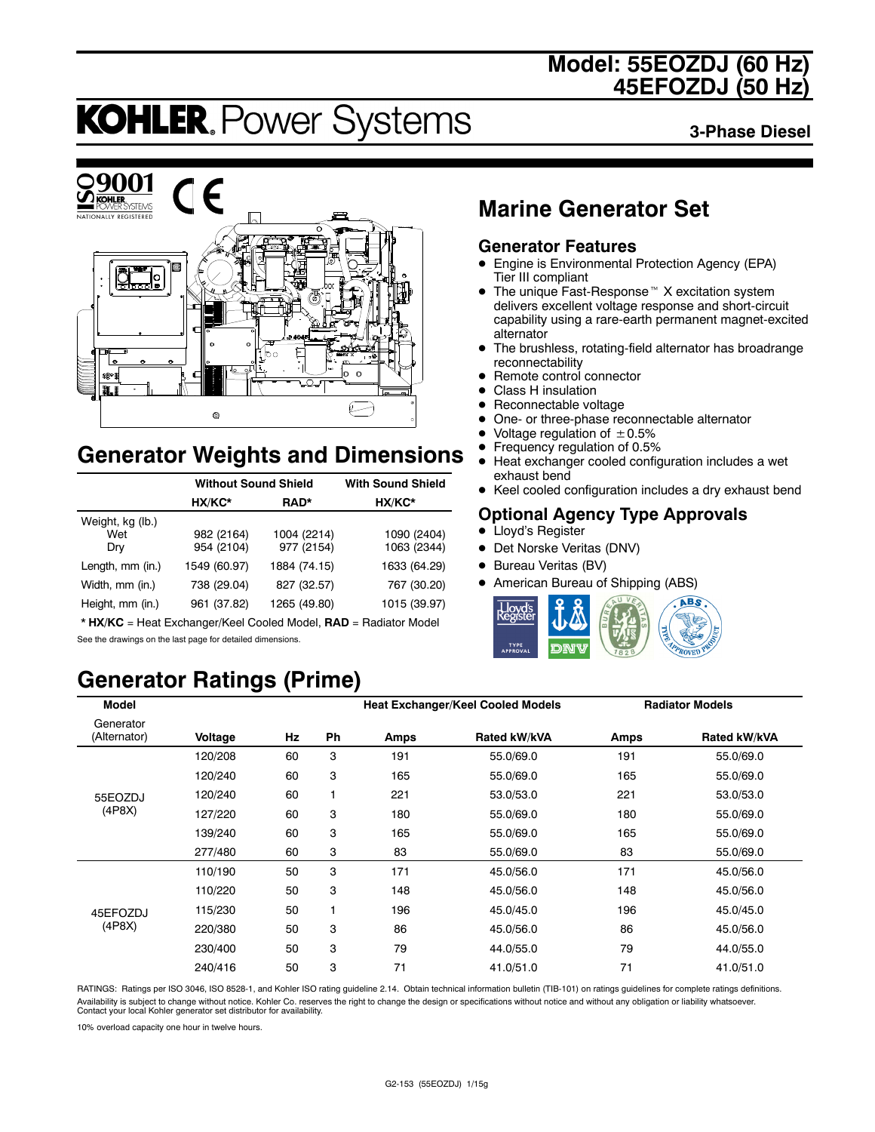### **Model: 55EOZDJ (60 Hz) 45EFOZDJ (50 Hz)**

# **KOHLER. Power Systems**

**3-Phase Diesel**



### **Generator Weights and Dimensions**

|                                | <b>Without Sound Shield</b> |                           | <b>With Sound Shield</b>   |
|--------------------------------|-----------------------------|---------------------------|----------------------------|
|                                | HX/KC*                      | RAD*                      | HX/KC*                     |
| Weight, kg (lb.)<br>Wet<br>Dry | 982 (2164)<br>954 (2104)    | 1004 (2214)<br>977 (2154) | 1090 (2404)<br>1063 (2344) |
| Length, mm (in.)               | 1549 (60.97)                | 1884 (74.15)              | 1633 (64.29)               |
| Width, mm (in.)                | 738 (29.04)                 | 827 (32.57)               | 767 (30.20)                |
| Height, mm (in.)               | 961 (37.82)                 | 1265 (49.80)              | 1015 (39.97)               |

\* **HX/KC** = Heat Exchanger/Keel Cooled Model, **RAD** = Radiator Model See the drawings on the last page for detailed dimensions.

## **Generator Ratings (Prime)**

### **Marine Generator Set**

#### **Generator Features**

- Engine is Environmental Protection Agency (EPA) Tier III compliant
- $\bullet$  The unique Fast-Response<sup> $M$ </sup> X excitation system delivers excellent voltage response and short-circuit capability using a rare-earth permanent magnet-excited alternator
- The brushless, rotating-field alternator has broadrange reconnectability
- Remote control connector
- Class H insulation
- Reconnectable voltage
- One- or three-phase reconnectable alternator
- Voltage regulation of  $\pm 0.5\%$ <br>• Frequency regulation of 0.5%
- **•** Frequency regulation of 0.5%<br>• Heat exchanger cooled config
- Heat exchanger cooled configuration includes a wet exhaust bend
- Keel cooled configuration includes a dry exhaust bend

#### **Optional Agency Type Approvals**

- Lloyd's Register
- Det Norske Veritas (DNV)
- Bureau Veritas (BV)
- American Bureau of Shipping (ABS)



| <b>Model</b>              |         |    |    |      | <b>Heat Exchanger/Keel Cooled Models</b> |             | <b>Radiator Models</b> |
|---------------------------|---------|----|----|------|------------------------------------------|-------------|------------------------|
| Generator<br>(Alternator) | Voltage | Hz | Ph | Amps | Rated kW/kVA                             | <b>Amps</b> | Rated kW/kVA           |
|                           | 120/208 | 60 | 3  | 191  | 55.0/69.0                                | 191         | 55.0/69.0              |
|                           | 120/240 | 60 | 3  | 165  | 55.0/69.0                                | 165         | 55.0/69.0              |
| 55EOZDJ                   | 120/240 | 60 | 1  | 221  | 53.0/53.0                                | 221         | 53.0/53.0              |
| (4P8X)                    | 127/220 | 60 | 3  | 180  | 55.0/69.0                                | 180         | 55.0/69.0              |
|                           | 139/240 | 60 | 3  | 165  | 55.0/69.0                                | 165         | 55.0/69.0              |
|                           | 277/480 | 60 | 3  | 83   | 55.0/69.0                                | 83          | 55.0/69.0              |
|                           | 110/190 | 50 | 3  | 171  | 45.0/56.0                                | 171         | 45.0/56.0              |
|                           | 110/220 | 50 | 3  | 148  | 45.0/56.0                                | 148         | 45.0/56.0              |
| 45EFOZDJ                  | 115/230 | 50 | 1  | 196  | 45.0/45.0                                | 196         | 45.0/45.0              |
| (4P8X)                    | 220/380 | 50 | 3  | 86   | 45.0/56.0                                | 86          | 45.0/56.0              |
|                           | 230/400 | 50 | 3  | 79   | 44.0/55.0                                | 79          | 44.0/55.0              |
|                           | 240/416 | 50 | 3  | 71   | 41.0/51.0                                | 71          | 41.0/51.0              |

RATINGS: Ratings per ISO 3046, ISO 8528-1, and Kohler ISO rating guideline 2.14. Obtain technical information bulletin (TIB-101) on ratings guidelines for complete ratings definitions. Availability is subject to change without notice. Kohler Co. reserves the right to change the design or specifications without notice and without any obligation or liability whatsoever. Contact your local Kohler generator set distributor for availability.

10% overload capacity one hour in twelve hours.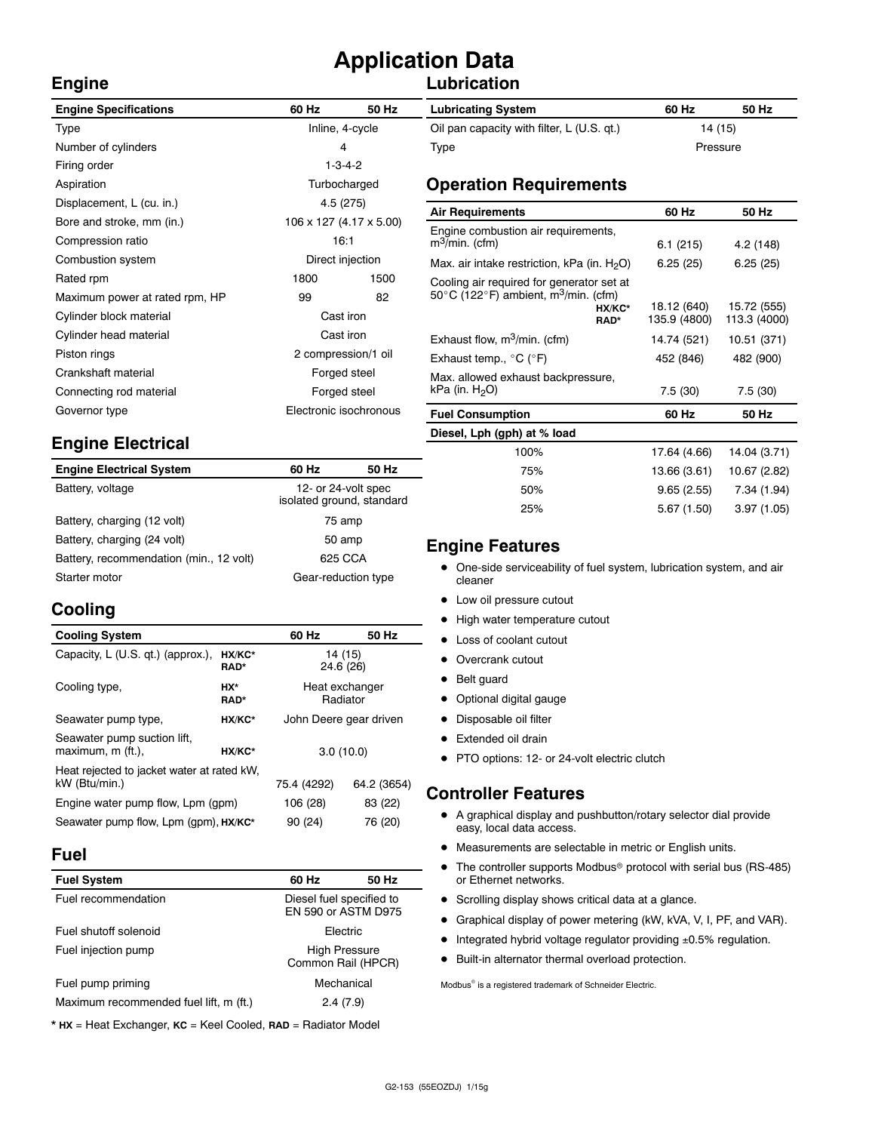# **Application Data**

#### **Lubrication**

| <b>Engine Specifications</b>   | 60 Hz                  | 50 Hz                   | <b>Lubricating System</b>                                            |  |
|--------------------------------|------------------------|-------------------------|----------------------------------------------------------------------|--|
| Type                           | Inline, 4-cycle        |                         | Oil pan capacity with filter, L (U.S. qt.)                           |  |
| Number of cylinders            | 4                      |                         | Type                                                                 |  |
| Firing order                   | $1 - 3 - 4 - 2$        |                         |                                                                      |  |
| Aspiration                     |                        | Turbocharged            | <b>Operation Requirements</b>                                        |  |
| Displacement, L (cu. in.)      |                        | 4.5 (275)               | <b>Air Requirements</b>                                              |  |
| Bore and stroke, mm (in.)      |                        | 106 x 127 (4.17 x 5.00) |                                                                      |  |
| Compression ratio              | 16:1                   |                         | Engine combustion air requirements,<br>$m^3/m$ in. (cfm)             |  |
| Combustion system              | Direct injection       |                         | Max. air intake restriction, kPa (in. $H_2O$ )                       |  |
| Rated rpm                      | 1800                   | 1500                    | Cooling air required for generator set at                            |  |
| Maximum power at rated rpm, HP | 82<br>99               |                         | 50 $\degree$ C (122 $\degree$ F) ambient, m <sup>3</sup> /min. (cfm) |  |
| Cylinder block material        | Cast iron              |                         | HX/KC*<br>RAD*                                                       |  |
| Cylinder head material         | Cast iron              |                         | Exhaust flow, $m^3/m$ in. (cfm)                                      |  |
| Piston rings                   | 2 compression/1 oil    |                         | Exhaust temp., $^{\circ}$ C ( $^{\circ}$ F)                          |  |
| Crankshaft material            | Forged steel           |                         | Max. allowed exhaust backpressure,                                   |  |
| Connecting rod material        | Forged steel           |                         | kPa (in. $H2O$ )                                                     |  |
| Governor type                  | Electronic isochronous |                         | <b>Fuel Consumption</b>                                              |  |
|                                |                        |                         |                                                                      |  |

#### **Engine Electrical**

| <b>Engine Electrical System</b>         | 60 Hz                                            | 50 Hz |
|-----------------------------------------|--------------------------------------------------|-------|
| Battery, voltage                        | 12- or 24-volt spec<br>isolated ground, standard |       |
| Battery, charging (12 volt)             | 75 amp                                           |       |
| Battery, charging (24 volt)             | 50 amp                                           |       |
| Battery, recommendation (min., 12 volt) | 625 CCA                                          |       |
| Starter motor                           | Gear-reduction type                              |       |

#### **Cooling**

**Engine**

| <b>Cooling System</b>                                      |                       | 60 Hz                  | 50 Hz       |  |
|------------------------------------------------------------|-----------------------|------------------------|-------------|--|
| Capacity, L (U.S. qt.) (approx.),                          | HX/KC*<br><b>RAD*</b> | 14 (15)<br>24.6 (26)   |             |  |
| Cooling type,                                              | HX*<br><b>RAD*</b>    | Heat exchanger         | Radiator    |  |
| Seawater pump type,                                        | HX/KC*                | John Deere gear driven |             |  |
| Seawater pump suction lift,<br>maximum, m (ft.),<br>HX/KC* |                       | 3.0(10.0)              |             |  |
| Heat rejected to jacket water at rated kW,                 |                       |                        |             |  |
| kW (Btu/min.)                                              |                       | 75.4 (4292)            | 64.2 (3654) |  |
| Engine water pump flow, Lpm (gpm)                          | 106 (28)              | 83 (22)                |             |  |
| Seawater pump flow, Lpm (qpm), HX/KC*                      | 90 (24)               | 76 (20)                |             |  |

#### **Fuel**

| 60 Hz                                      | 50 Hz                                                                                        |
|--------------------------------------------|----------------------------------------------------------------------------------------------|
|                                            |                                                                                              |
|                                            |                                                                                              |
| <b>High Pressure</b><br>Common Rail (HPCR) |                                                                                              |
|                                            |                                                                                              |
|                                            |                                                                                              |
|                                            | Diesel fuel specified to<br>EN 590 or ASTM D975<br><b>Flectric</b><br>Mechanical<br>2.4(7.9) |

\* **HX** = Heat Exchanger, **KC** = Keel Cooled, **RAD** = Radiator Model

| <b>Lubricating System</b>                  | 60 Hz    | 50 Hz |
|--------------------------------------------|----------|-------|
| Oil pan capacity with filter, L (U.S. qt.) | 14 (15)  |       |
| Type                                       | Pressure |       |

| Air Requirements                                                                                                                                                       | 60 Hz                       | 50 Hz                       |
|------------------------------------------------------------------------------------------------------------------------------------------------------------------------|-----------------------------|-----------------------------|
| Engine combustion air requirements,<br>$m^3/m$ in. (cfm)                                                                                                               | 6.1(215)                    | 4.2 (148)                   |
| Max. air intake restriction, kPa (in. $H_2O$ )                                                                                                                         | 6.25(25)                    | 6.25(25)                    |
| Cooling air required for generator set at<br>50 $\degree$ C (122 $\degree$ F) ambient, m <sup>3</sup> /min. (cfm)<br>HX/KC*<br>RAD*<br>Exhaust flow, $m^3/m$ in. (cfm) | 18.12 (640)<br>135.9 (4800) | 15.72 (555)<br>113.3 (4000) |
|                                                                                                                                                                        | 14.74 (521)                 | 10.51 (371)                 |
| Exhaust temp., $^{\circ}$ C ( $^{\circ}$ F)                                                                                                                            | 452 (846)                   | 482 (900)                   |
| Max. allowed exhaust backpressure,<br>kPa (in. H <sub>2</sub> O)                                                                                                       | 7.5(30)                     | 7.5(30)                     |
| <b>Fuel Consumption</b>                                                                                                                                                | 60 Hz                       | 50 Hz                       |
| Diesel, Lph (gph) at % load                                                                                                                                            |                             |                             |
| 100%                                                                                                                                                                   | 17.64 (4.66)                | 14.04 (3.71)                |
| 75%                                                                                                                                                                    | 13.66 (3.61)                | 10.67 (2.82)                |

#### **Engine Features**

• One-side serviceability of fuel system, lubrication system, and air cleaner

50% 9.65 (2.55) 7.34 (1.94) 25% 5.67 (1.50) 3.97 (1.05)

- Low oil pressure cutout
- High water temperature cutout
- Loss of coolant cutout
- Overcrank cutout
- Belt guard
- Optional digital gauge
- Disposable oil filter
- Extended oil drain
- PTO options: 12- or 24-volt electric clutch

#### **Controller Features**

- A graphical display and pushbutton/rotary selector dial provide easy, local data access.
- $\bullet$  Measurements are selectable in metric or English units.
- $\bullet$  The controller supports Modbus<sup>®</sup> protocol with serial bus (RS-485) or Ethernet networks.
- Scrolling display shows critical data at a glance.
- Graphical display of power metering (kW, kVA, V, I, PF, and VAR).
- $\bullet$  Integrated hybrid voltage regulator providing  $\pm 0.5\%$  regulation.
- $\bullet$  Built-in alternator thermal overload protection.

Modbus<sup>®</sup> is a registered trademark of Schneider Electric.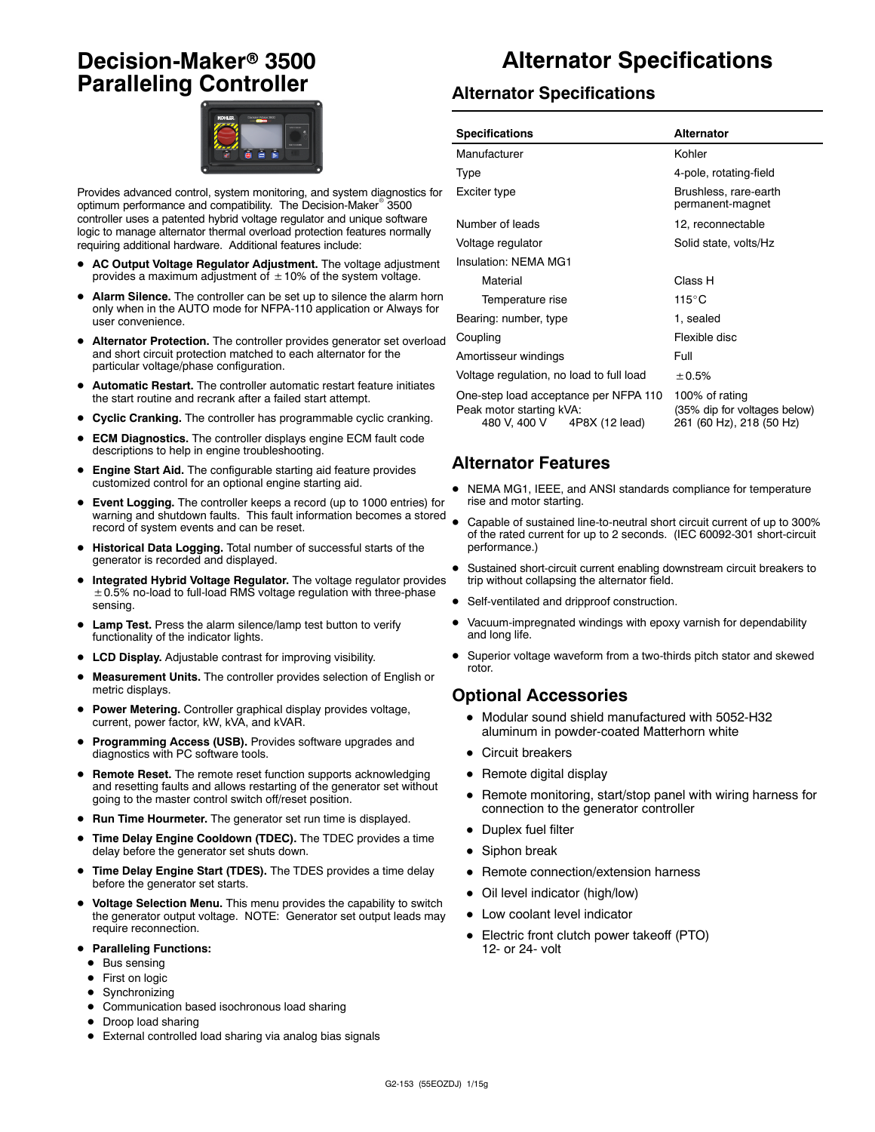### **Decision-Maker<sup>®</sup> 3500 Paralleling Controller**



Provides advanced control, system monitoring, and system diagnostics for optimum performance and compatibility. The Decision-Maker<sup>®</sup> 3500 controller uses a patented hybrid voltage regulator and unique software logic to manage alternator thermal overload protection features normally requiring additional hardware. Additional features include:

- AC Output Voltage Regulator Adjustment. The voltage adjustment provides a maximum adjustment of  $\pm$  10% of the system voltage.
- Alarm Silence. The controller can be set up to silence the alarm horn only when in the AUTO mode for NFPA-110 application or Always for user convenience.
- Alternator Protection. The controller provides generator set overload and short circuit protection matched to each alternator for the particular voltage/phase configuration.
- Automatic Restart. The controller automatic restart feature initiates the start routine and recrank after a failed start attempt.
- **Cyclic Cranking.** The controller has programmable cyclic cranking.
- **ECM Diagnostics.** The controller displays engine ECM fault code descriptions to help in engine troubleshooting.
- Engine Start Aid. The configurable starting aid feature provides customized control for an optional engine starting aid.
- **Event Logging.** The controller keeps a record (up to 1000 entries) for warning and shutdown faults. This fault information becomes a stored record of system events and can be reset.
- $\bullet$  Historical Data Logging. Total number of successful starts of the generator is recorded and displayed.
- Integrated Hybrid Voltage Regulator. The voltage regulator provides  $\pm$  0.5% no-load to full-load RMS voltage regulation with three-phase sensing.
- Lamp Test. Press the alarm silence/lamp test button to verify functionality of the indicator lights.
- LCD Display. Adjustable contrast for improving visibility.
- Measurement Units. The controller provides selection of English or metric displays.
- **Power Metering.** Controller graphical display provides voltage, current, power factor, kW, kVA, and kVAR.
- Programming Access (USB). Provides software upgrades and diagnostics with PC software tools.
- **Remote Reset.** The remote reset function supports acknowledging and resetting faults and allows restarting of the generator set without going to the master control switch off/reset position.
- Run Time Hourmeter. The generator set run time is displayed.
- **Time Delay Engine Cooldown (TDEC).** The TDEC provides a time delay before the generator set shuts down.
- Time Delay Engine Start (TDES). The TDES provides a time delay before the generator set starts.
- $\bullet$  Voltage Selection Menu. This menu provides the capability to switch the generator output voltage. NOTE: Generator set output leads may require reconnection.
- **Paralleling Functions:** 
	- $\bullet$  Bus sensing
	- First on logic
	- $\bullet$  Synchronizing
	- $\bullet$  Communication based isochronous load sharing
	- Droop load sharing
	- External controlled load sharing via analog bias signals

### **Alternator Specifications**

#### **Alternator Specifications**

| <b>Specifications</b>                                                                               | <b>Alternator</b>                                                          |  |
|-----------------------------------------------------------------------------------------------------|----------------------------------------------------------------------------|--|
| Manufacturer                                                                                        | Kohler                                                                     |  |
| <b>Type</b>                                                                                         | 4-pole, rotating-field                                                     |  |
| Exciter type                                                                                        | Brushless, rare-earth<br>permanent-magnet                                  |  |
| Number of leads                                                                                     | 12, reconnectable                                                          |  |
| Voltage regulator                                                                                   | Solid state, volts/Hz                                                      |  |
| Insulation: NFMA MG1                                                                                |                                                                            |  |
| Material                                                                                            | Class H                                                                    |  |
| Temperature rise                                                                                    | $115^{\circ}$ C                                                            |  |
| Bearing: number, type                                                                               | 1, sealed                                                                  |  |
| Coupling                                                                                            | Flexible disc                                                              |  |
| Amortisseur windings                                                                                | Full                                                                       |  |
| Voltage regulation, no load to full load                                                            | ± 0.5%                                                                     |  |
| One-step load acceptance per NFPA 110<br>Peak motor starting kVA:<br>480 V, 400 V<br>4P8X (12 lead) | 100% of rating<br>(35% dip for voltages below)<br>261 (60 Hz), 218 (50 Hz) |  |

#### **Alternator Features**

- NEMA MG1, IEEE, and ANSI standards compliance for temperature rise and motor starting.
- Capable of sustained line-to-neutral short circuit current of up to 300% of the rated current for up to 2 seconds. (IEC 60092-301 short-circuit performance.)
- Sustained short-circuit current enabling downstream circuit breakers to trip without collapsing the alternator field.
- Self-ventilated and dripproof construction.
- Vacuum-impregnated windings with epoxy varnish for dependability and long life.
- Superior voltage waveform from a two-thirds pitch stator and skewed rotor.

#### **Optional Accessories**

- $\bullet$  Modular sound shield manufactured with 5052-H32 aluminum in powder-coated Matterhorn white
- Circuit breakers
- $\bullet$  Remote digital display
- Remote monitoring, start/stop panel with wiring harness for connection to the generator controller
- Duplex fuel filter
- $\bullet$  Siphon break
- Remote connection/extension harness
- Oil level indicator (high/low)
- Low coolant level indicator
- Electric front clutch power takeoff (PTO) 12- or 24- volt